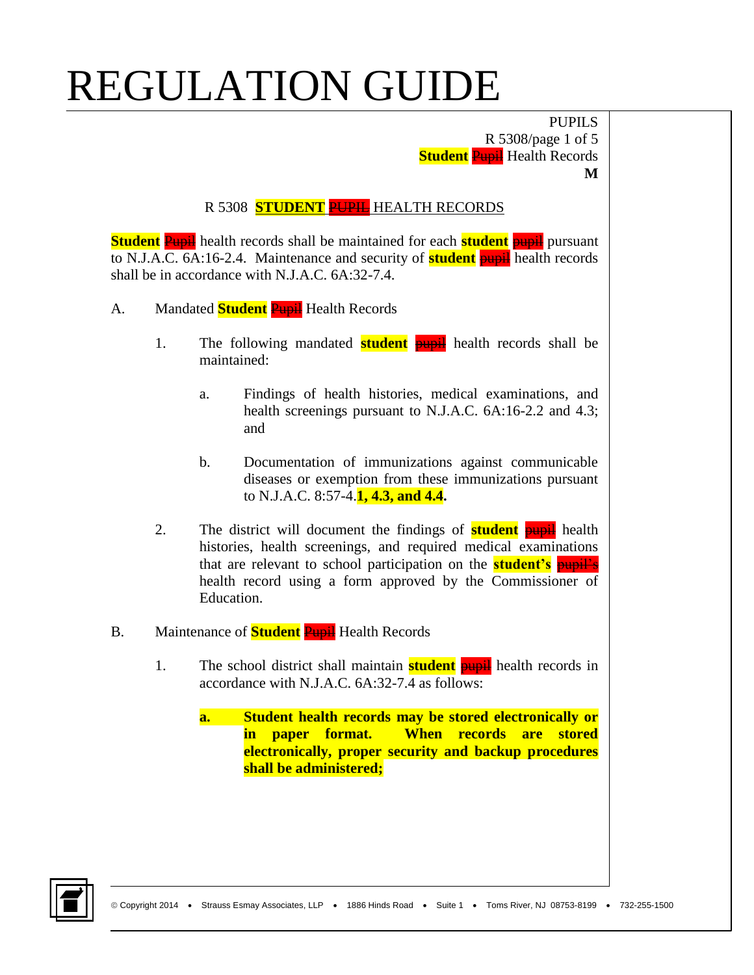PUPILS R 5308/page 1 of 5 **Student** Pupil Health Records **M**

#### R 5308 **STUDENT** PUPIL HEALTH RECORDS

**Student** Pupil health records shall be maintained for each **student** pupil pursuant to N.J.A.C. 6A:16-2.4. Maintenance and security of **student** pupil health records shall be in accordance with N.J.A.C. 6A:32-7.4.

- A. Mandated **Student** Pupil Health Records
	- 1. The following mandated **student** pupil health records shall be maintained:
		- a. Findings of health histories, medical examinations, and health screenings pursuant to N.J.A.C. 6A:16-2.2 and 4.3; and
		- b. Documentation of immunizations against communicable diseases or exemption from these immunizations pursuant to N.J.A.C. 8:57-4.**1, 4.3, and 4.4.**
	- 2. The district will document the findings of **student** pupil health histories, health screenings, and required medical examinations that are relevant to school participation on the **student's** pupil's health record using a form approved by the Commissioner of Education.
- B. Maintenance of **Student** Pupil Health Records
	- 1. The school district shall maintain **student** pupil health records in accordance with N.J.A.C. 6A:32-7.4 as follows:
		- **a. Student health records may be stored electronically or in paper format. When records are stored electronically, proper security and backup procedures shall be administered;**

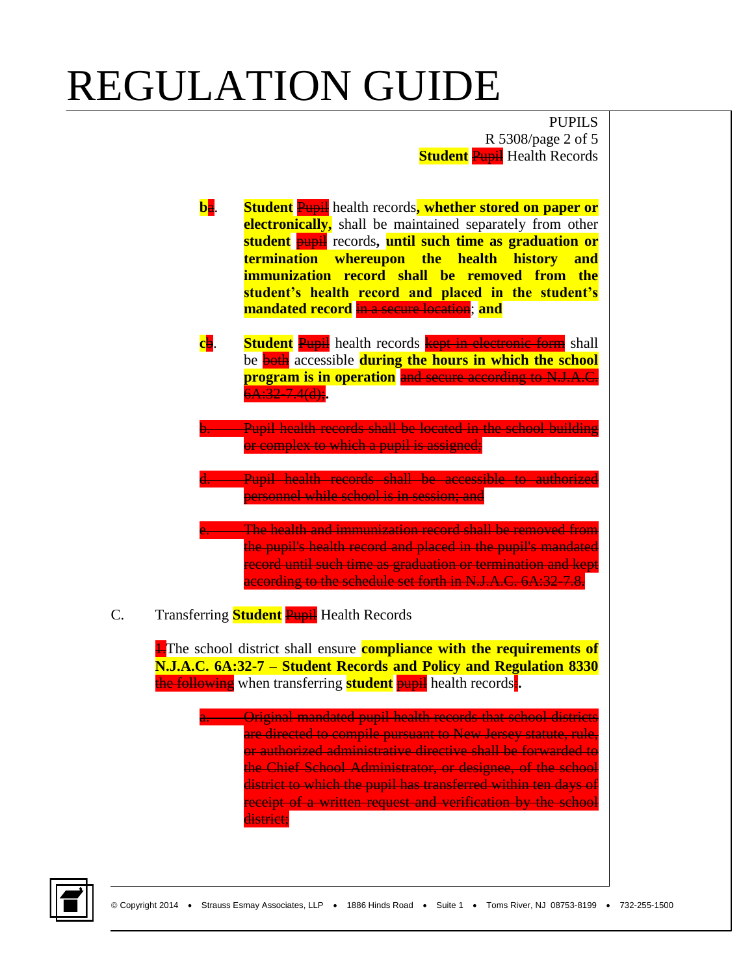PUPILS R 5308/page 2 of 5 **Student Pupil** Health Records

- **b**a. **Student** Pupil health records**, whether stored on paper or electronically,** shall be maintained separately from other **student** pupil records**, until such time as graduation or termination whereupon the health history and immunization record shall be removed from the student's health record and placed in the student's mandated record** in a secure location; **and**
- **c**b. **Student** Pupil health records kept in electronic form shall be both accessible **during the hours in which the school program is in operation** and secure according to N.J.A.C. 6A:32-7.4(d);**.**
	- Pupil health records shall be located in the school building or complex to which a pupil is assigned;
	- **d. Pupil health records shall be accessible to authorized** personnel while school is in session; and
- **Earth and immunization record shall be removed from** the pupil's health record and placed in the pupil's mandated record until such time as graduation or termination and kept according to the schedule set forth in N.J.A.C. 6A:32-7.8.
- C. Transferring **Student** Pupil Health Records

1.The school district shall ensure **compliance with the requirements of N.J.A.C. 6A:32-7 – Student Records and Policy and Regulation 8330** the following when transferring **student** pupil health records:**.**

> **Original mandated pupil health records that school districts** are directed to compile pursuant to New Jersey statute, rule, or authorized administrative directive shall be forwarded to the Chief School Administrator, or designee, of the school district to which the pupil has transferred within ten days of receipt of a written request and verification by the school district;

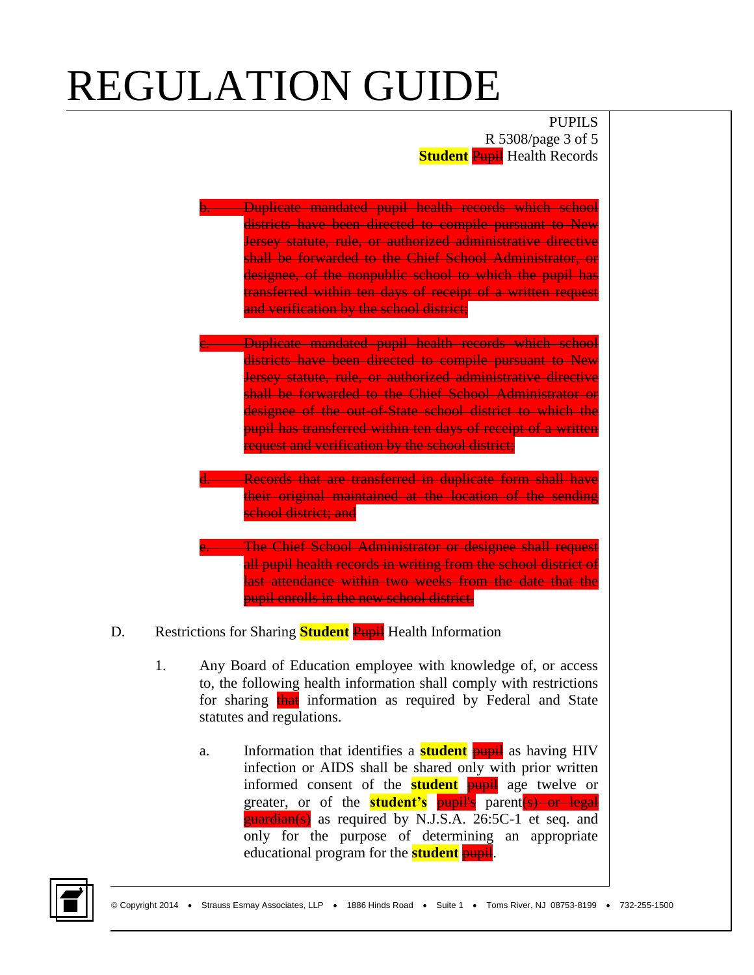PUPILS R 5308/page 3 of 5 **Student Pupil** Health Records

- **Duplicate mandated pupil health records which school** districts have been directed to compile pursuant to New Jersey statute, rule, or authorized administrative directive shall be forwarded to the Chief School Administrator, or designee, of the nonpublic school to which the pupil has transferred within ten days of receipt of a written request and verification by the school district;
	- **Duplicate mandated pupil health records which school** districts have been directed to compile pursuant to New Jersey statute, rule, or authorized administrative directive shall be forwarded to the Chief School Administrator or designee of the out-of-State school district to which the pupil has transferred within ten days of receipt of a written request and verification by the school district;
- **Execords that are transferred in duplicate form shall have** their original maintained at the location of the sending school district; and
- The Chief School Administrator or designee shall request all pupil health records in writing from the school district of last attendance within two weeks from the date that the pupil enrolls in the new school district.
- D. Restrictions for Sharing **Student** Pupil Health Information
	- 1. Any Board of Education employee with knowledge of, or access to, the following health information shall comply with restrictions for sharing that information as required by Federal and State statutes and regulations.
		- a. Information that identifies a **student** pupil as having HIV infection or AIDS shall be shared only with prior written informed consent of the **student** pupil age twelve or greater, or of the **student's** pupil's parent(s) or legal guardian(s) as required by N.J.S.A. 26:5C-1 et seq. and only for the purpose of determining an appropriate educational program for the **student** pupil.

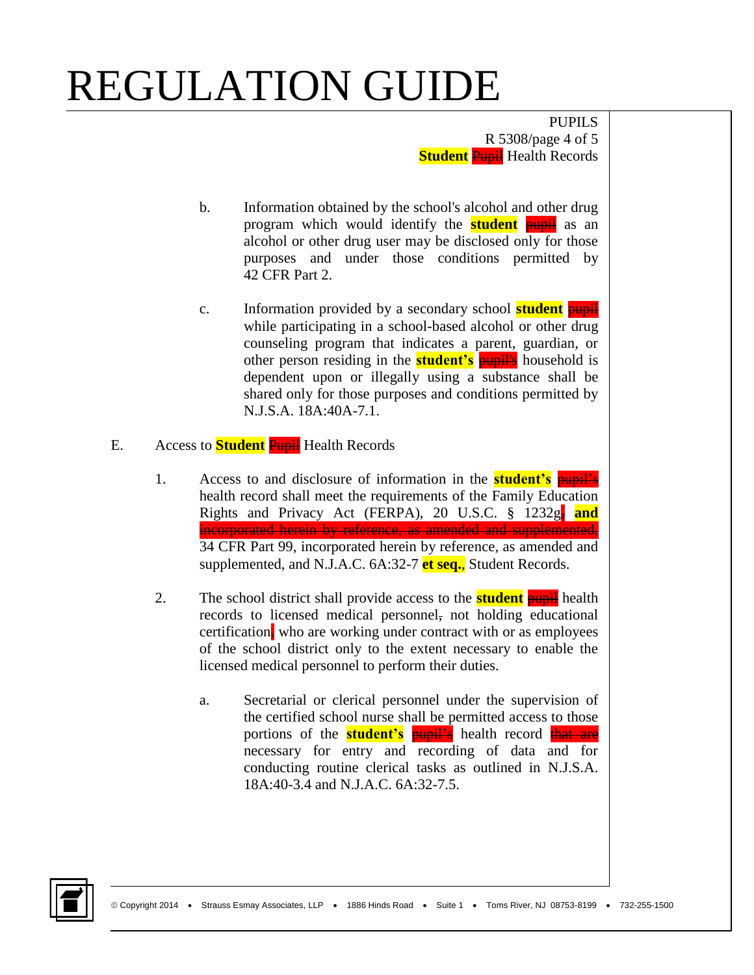PUPILS R 5308/page 4 of 5 **Student** Pupil Health Records

- b. Information obtained by the school's alcohol and other drug program which would identify the **student** pupil as an alcohol or other drug user may be disclosed only for those purposes and under those conditions permitted by 42 CFR Part 2.
- c. Information provided by a secondary school **student** pupil while participating in a school-based alcohol or other drug counseling program that indicates a parent, guardian, or other person residing in the **student's** pupil's household is dependent upon or illegally using a substance shall be shared only for those purposes and conditions permitted by N.J.S.A. 18A:40A-7.1.

### E. Access to **Student** Pupil Health Records

- 1. Access to and disclosure of information in the **student's** pupil's health record shall meet the requirements of the Family Education Rights and Privacy Act (FERPA), 20 U.S.C. § 1232g, **and** incorporated herein by reference, as amended and supplemented, 34 CFR Part 99, incorporated herein by reference, as amended and supplemented, and N.J.A.C. 6A:32-7 **et seq.**, Student Records.
- 2. The school district shall provide access to the **student** pupil health records to licensed medical personnel, not holding educational certification, who are working under contract with or as employees of the school district only to the extent necessary to enable the licensed medical personnel to perform their duties.
	- a. Secretarial or clerical personnel under the supervision of the certified school nurse shall be permitted access to those portions of the **student's pupil's** health record that are necessary for entry and recording of data and for conducting routine clerical tasks as outlined in N.J.S.A. 18A:40-3.4 and N.J.A.C. 6A:32-7.5.